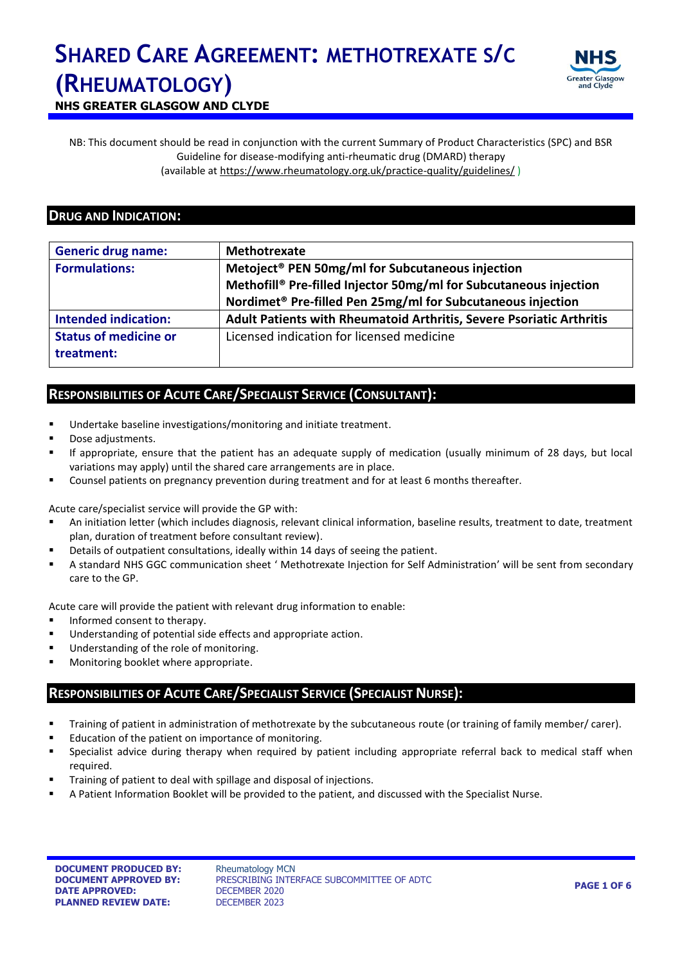

**NHS GREATER GLASGOW AND CLYDE**

NB: This document should be read in conjunction with the current Summary of Product Characteristics (SPC) and BSR Guideline for disease-modifying anti-rheumatic drug (DMARD) therapy (available at<https://www.rheumatology.org.uk/practice-quality/guidelines/> )

#### **DRUG AND INDICATION:**

| <b>Generic drug name:</b>    | Methotrexate                                                            |  |  |
|------------------------------|-------------------------------------------------------------------------|--|--|
| <b>Formulations:</b>         | Metoject <sup>®</sup> PEN 50mg/ml for Subcutaneous injection            |  |  |
|                              | Methofill® Pre-filled Injector 50mg/ml for Subcutaneous injection       |  |  |
|                              | Nordimet <sup>®</sup> Pre-filled Pen 25mg/ml for Subcutaneous injection |  |  |
| <b>Intended indication:</b>  | Adult Patients with Rheumatoid Arthritis, Severe Psoriatic Arthritis    |  |  |
| <b>Status of medicine or</b> | Licensed indication for licensed medicine                               |  |  |
| treatment:                   |                                                                         |  |  |

#### **RESPONSIBILITIES OF ACUTE CARE/SPECIALIST SERVICE (CONSULTANT):**

- Undertake baseline investigations/monitoring and initiate treatment.
- Dose adjustments.
- If appropriate, ensure that the patient has an adequate supply of medication (usually minimum of 28 days, but local variations may apply) until the shared care arrangements are in place.
- Counsel patients on pregnancy prevention during treatment and for at least 6 months thereafter.

Acute care/specialist service will provide the GP with:

- An initiation letter (which includes diagnosis, relevant clinical information, baseline results, treatment to date, treatment plan, duration of treatment before consultant review).
- Details of outpatient consultations, ideally within 14 days of seeing the patient.
- A standard NHS GGC communication sheet ' Methotrexate Injection for Self Administration' will be sent from secondary care to the GP.

Acute care will provide the patient with relevant drug information to enable:

- Informed consent to therapy.
- Understanding of potential side effects and appropriate action.
- **Understanding of the role of monitoring.**
- **Monitoring booklet where appropriate.**

### **RESPONSIBILITIES OF ACUTE CARE/SPECIALIST SERVICE (SPECIALIST NURSE):**

- Training of patient in administration of methotrexate by the subcutaneous route (or training of family member/ carer).
- **Education of the patient on importance of monitoring.**
- Specialist advice during therapy when required by patient including appropriate referral back to medical staff when required.
- Training of patient to deal with spillage and disposal of injections.
- A Patient Information Booklet will be provided to the patient, and discussed with the Specialist Nurse.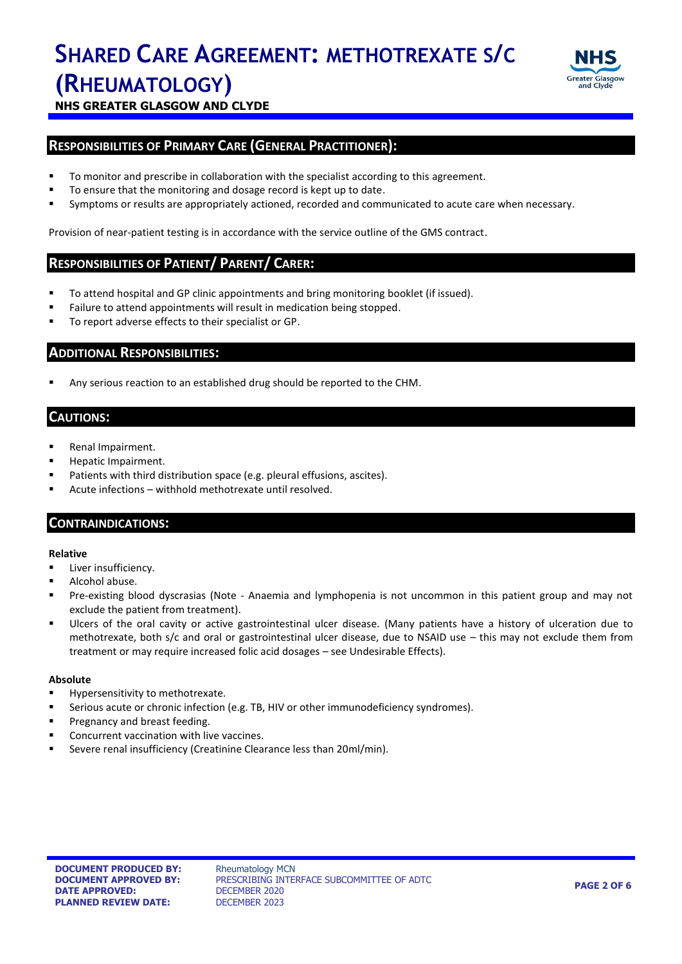

**NHS GREATER GLASGOW AND CLYDE**

#### **RESPONSIBILITIES OF PRIMARY CARE (GENERAL PRACTITIONER):**

- To monitor and prescribe in collaboration with the specialist according to this agreement.
- To ensure that the monitoring and dosage record is kept up to date.
- Symptoms or results are appropriately actioned, recorded and communicated to acute care when necessary.

Provision of near-patient testing is in accordance with the service outline of the GMS contract.

#### **RESPONSIBILITIES OF PATIENT/ PARENT/ CARER:**

- To attend hospital and GP clinic appointments and bring monitoring booklet (if issued).
- Failure to attend appointments will result in medication being stopped.
- To report adverse effects to their specialist or GP.

#### **ADDITIONAL RESPONSIBILITIES:**

Any serious reaction to an established drug should be reported to the CHM.

#### **CAUTIONS:**

- **Renal Impairment.**
- Hepatic Impairment.
- Patients with third distribution space (e.g. pleural effusions, ascites).
- Acute infections withhold methotrexate until resolved.

#### **CONTRAINDICATIONS:**

#### **Relative**

- **Liver insufficiency.**
- **Alcohol abuse.**
- Pre-existing blood dyscrasias (Note Anaemia and lymphopenia is not uncommon in this patient group and may not exclude the patient from treatment).
- Ulcers of the oral cavity or active gastrointestinal ulcer disease*.* (Many patients have a history of ulceration due to methotrexate, both s/c and oral or gastrointestinal ulcer disease, due to NSAID use – this may not exclude them from treatment or may require increased folic acid dosages – see Undesirable Effects).

#### **Absolute**

- Hypersensitivity to methotrexate.
- Serious acute or chronic infection (e.g. TB, HIV or other immunodeficiency syndromes).
- **Pregnancy and breast feeding.**
- **Concurrent vaccination with live vaccines.**
- Severe renal insufficiency (Creatinine Clearance less than 20ml/min).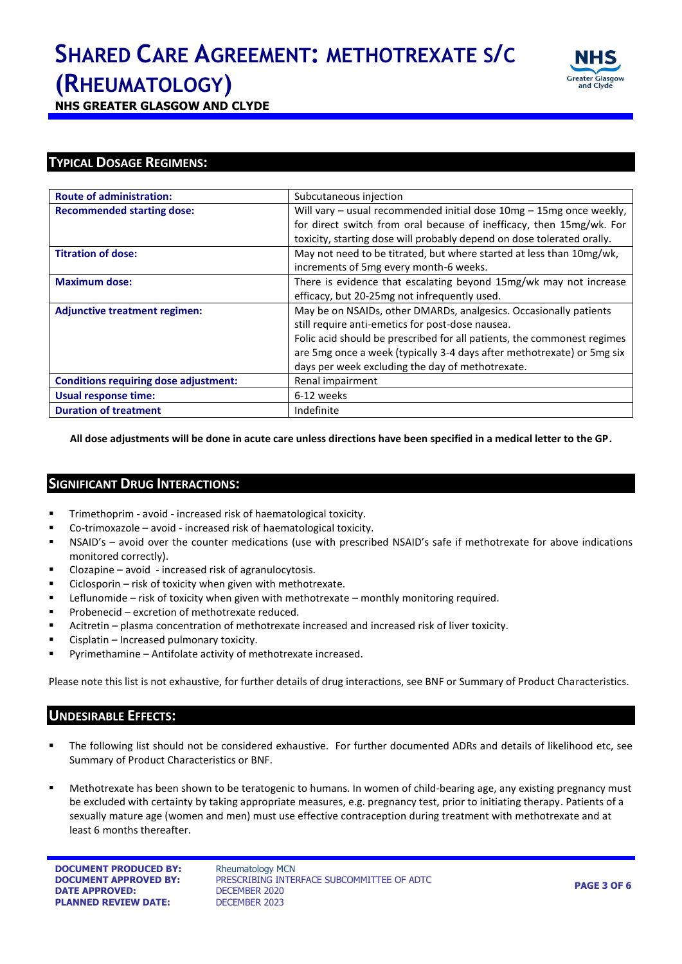

**NHS GREATER GLASGOW AND CLYDE**

#### **TYPICAL DOSAGE REGIMENS:**

| <b>Route of administration:</b>              | Subcutaneous injection                                                  |  |
|----------------------------------------------|-------------------------------------------------------------------------|--|
| <b>Recommended starting dose:</b>            | Will vary - usual recommended initial dose 10mg - 15mg once weekly,     |  |
|                                              | for direct switch from oral because of inefficacy, then 15mg/wk. For    |  |
|                                              | toxicity, starting dose will probably depend on dose tolerated orally.  |  |
| <b>Titration of dose:</b>                    | May not need to be titrated, but where started at less than 10mg/wk,    |  |
|                                              | increments of 5mg every month-6 weeks.                                  |  |
| <b>Maximum dose:</b>                         | There is evidence that escalating beyond 15mg/wk may not increase       |  |
|                                              | efficacy, but 20-25mg not infrequently used.                            |  |
| <b>Adjunctive treatment regimen:</b>         | May be on NSAIDs, other DMARDs, analgesics. Occasionally patients       |  |
|                                              | still require anti-emetics for post-dose nausea.                        |  |
|                                              | Folic acid should be prescribed for all patients, the commonest regimes |  |
|                                              | are 5mg once a week (typically 3-4 days after methotrexate) or 5mg six  |  |
|                                              | days per week excluding the day of methotrexate.                        |  |
| <b>Conditions requiring dose adjustment:</b> | Renal impairment                                                        |  |
| Usual response time:                         | 6-12 weeks                                                              |  |
| <b>Duration of treatment</b>                 | Indefinite                                                              |  |

**All dose adjustments will be done in acute care unless directions have been specified in a medical letter to the GP.**

#### **SIGNIFICANT DRUG INTERACTIONS:**

- Trimethoprim avoid increased risk of haematological toxicity.
- Co-trimoxazole avoid increased risk of haematological toxicity.
- NSAID's avoid over the counter medications (use with prescribed NSAID's safe if methotrexate for above indications monitored correctly).
- Clozapine avoid increased risk of agranulocytosis.
- $\blacksquare$  Ciclosporin risk of toxicity when given with methotrexate.
- Leflunomide risk of toxicity when given with methotrexate monthly monitoring required.
- **Probenecid excretion of methotrexate reduced.**
- Acitretin plasma concentration of methotrexate increased and increased risk of liver toxicity.
- Cisplatin Increased pulmonary toxicity.
- Pyrimethamine Antifolate activity of methotrexate increased.

Please note this list is not exhaustive, for further details of drug interactions, see BNF or Summary of Product Characteristics.

### **UNDESIRABLE EFFECTS:**

- The following list should not be considered exhaustive. For further documented ADRs and details of likelihood etc, see Summary of Product Characteristics or BNF.
- Methotrexate has been shown to be teratogenic to humans. In women of child-bearing age, any existing pregnancy must be excluded with certainty by taking appropriate measures, e.g. pregnancy test, prior to initiating therapy. Patients of a sexually mature age (women and men) must use effective contraception during treatment with methotrexate and at least 6 months thereafter.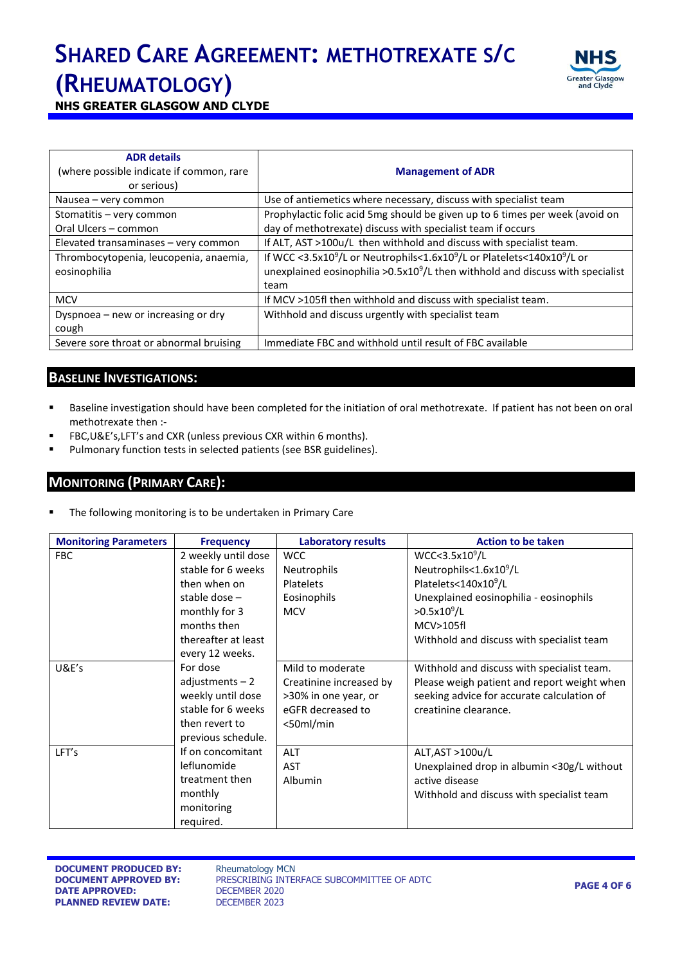

**NHS GREATER GLASGOW AND CLYDE**

| <b>ADR</b> details<br>(where possible indicate if common, rare<br>or serious) | <b>Management of ADR</b>                                                                                    |
|-------------------------------------------------------------------------------|-------------------------------------------------------------------------------------------------------------|
| Nausea – very common                                                          | Use of antiemetics where necessary, discuss with specialist team                                            |
| Stomatitis - very common                                                      | Prophylactic folic acid 5mg should be given up to 6 times per week (avoid on                                |
| Oral Ulcers - common                                                          | day of methotrexate) discuss with specialist team if occurs                                                 |
| Elevated transaminases - very common                                          | If ALT, AST >100u/L then withhold and discuss with specialist team.                                         |
| Thrombocytopenia, leucopenia, anaemia,                                        | If WCC <3.5x10 <sup>9</sup> /L or Neutrophils<1.6x10 <sup>9</sup> /L or Platelets<140x10 <sup>9</sup> /L or |
| eosinophilia                                                                  | unexplained eosinophilia >0.5x10 <sup>9</sup> /L then withhold and discuss with specialist                  |
|                                                                               | team                                                                                                        |
| <b>MCV</b>                                                                    | If MCV >105fl then withhold and discuss with specialist team.                                               |
| Dyspnoea - new or increasing or dry                                           | Withhold and discuss urgently with specialist team                                                          |
| cough                                                                         |                                                                                                             |
| Severe sore throat or abnormal bruising                                       | Immediate FBC and withhold until result of FBC available                                                    |

#### **BASELINE INVESTIGATIONS:**

- Baseline investigation should have been completed for the initiation of oral methotrexate. If patient has not been on oral methotrexate then :-
- FBC,U&E's,LFT's and CXR (unless previous CXR within 6 months).
- **Pulmonary function tests in selected patients (see BSR guidelines).**

#### **MONITORING (PRIMARY CARE):**

The following monitoring is to be undertaken in Primary Care

| <b>Monitoring Parameters</b> | <b>Frequency</b>    | <b>Laboratory results</b> | <b>Action to be taken</b>                   |
|------------------------------|---------------------|---------------------------|---------------------------------------------|
| <b>FBC</b>                   | 2 weekly until dose | <b>WCC</b>                | WCC < 3.5x10 <sup>9</sup> /L                |
|                              | stable for 6 weeks  | <b>Neutrophils</b>        | Neutrophils<1.6x10 <sup>9</sup> /L          |
|                              | then when on        | Platelets                 | Platelets<140x10 <sup>9</sup> /L            |
|                              | stable dose $-$     | Eosinophils               | Unexplained eosinophilia - eosinophils      |
|                              | monthly for 3       | <b>MCV</b>                | $>0.5x10^9/L$                               |
|                              | months then         |                           | MCV>105fl                                   |
|                              | thereafter at least |                           | Withhold and discuss with specialist team   |
|                              | every 12 weeks.     |                           |                                             |
| U&E's                        | For dose            | Mild to moderate          | Withhold and discuss with specialist team.  |
|                              | adjustments $-2$    | Creatinine increased by   | Please weigh patient and report weight when |
|                              | weekly until dose   | >30% in one year, or      | seeking advice for accurate calculation of  |
|                              | stable for 6 weeks  | eGFR decreased to         | creatinine clearance.                       |
|                              | then revert to      | $50ml/min$                |                                             |
|                              | previous schedule.  |                           |                                             |
| LFT's                        | If on concomitant   | <b>ALT</b>                | ALT, AST > 100u/L                           |
|                              | leflunomide         | <b>AST</b>                | Unexplained drop in albumin <30g/L without  |
|                              | treatment then      | <b>Albumin</b>            | active disease                              |
|                              | monthly             |                           | Withhold and discuss with specialist team   |
|                              | monitoring          |                           |                                             |
|                              | required.           |                           |                                             |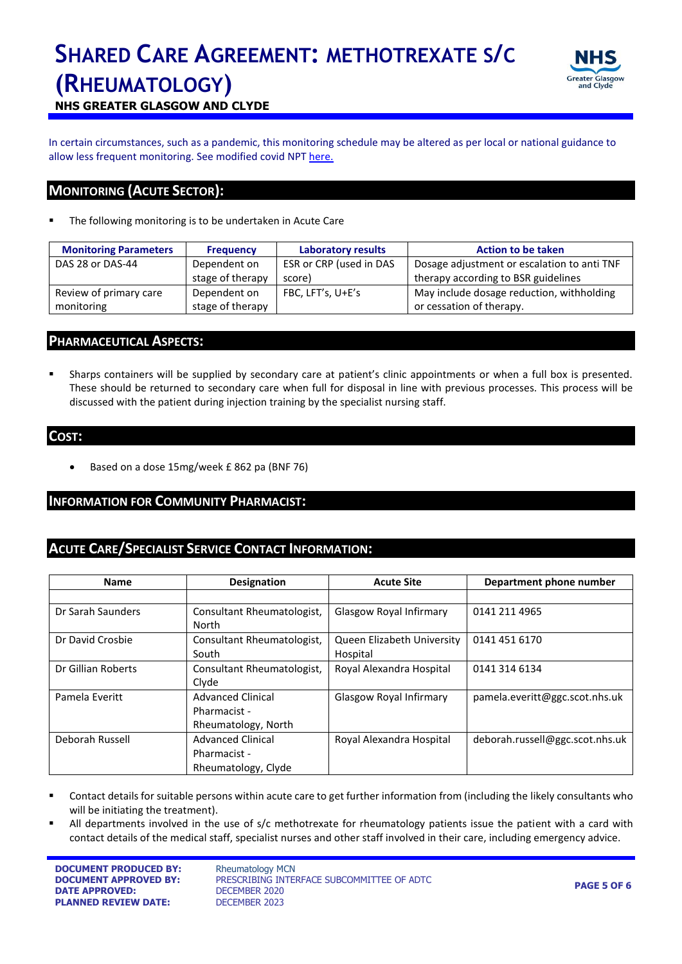

**NHS GREATER GLASGOW AND CLYDE**

In certain circumstances, such as a pandemic, this monitoring schedule may be altered as per local or national guidance to allow less frequent monitoring. See modified covid NPT [here.](https://www.nhsggc.org.uk/media/259856/modified-npt-monitoring-during-covid-19.docx)

#### **MONITORING (ACUTE SECTOR):**

The following monitoring is to be undertaken in Acute Care

| <b>Monitoring Parameters</b> | <b>Frequency</b> | <b>Laboratory results</b> | <b>Action to be taken</b>                   |  |
|------------------------------|------------------|---------------------------|---------------------------------------------|--|
| DAS 28 or DAS-44             | Dependent on     | ESR or CRP (used in DAS   | Dosage adjustment or escalation to anti TNF |  |
|                              | stage of therapy | score)                    | therapy according to BSR guidelines         |  |
| Review of primary care       | Dependent on     | FBC, LFT's, U+E's         | May include dosage reduction, withholding   |  |
| monitoring                   | stage of therapy |                           | or cessation of therapy.                    |  |

#### **PHARMACEUTICAL ASPECTS:**

 Sharps containers will be supplied by secondary care at patient's clinic appointments or when a full box is presented. These should be returned to secondary care when full for disposal in line with previous processes. This process will be discussed with the patient during injection training by the specialist nursing staff.

#### **COST:**

Based on a dose 15mg/week £ 862 pa (BNF 76)

#### **INFORMATION FOR COMMUNITY PHARMACIST:**

#### **ACUTE CARE/SPECIALIST SERVICE CONTACT INFORMATION:**

| <b>Name</b>        | <b>Designation</b>         | <b>Acute Site</b>          | Department phone number         |
|--------------------|----------------------------|----------------------------|---------------------------------|
|                    |                            |                            |                                 |
| Dr Sarah Saunders  | Consultant Rheumatologist, | Glasgow Royal Infirmary    | 0141 211 4965                   |
|                    | North                      |                            |                                 |
| Dr David Crosbie   | Consultant Rheumatologist, | Queen Elizabeth University | 0141 451 6170                   |
|                    | South                      | Hospital                   |                                 |
| Dr Gillian Roberts | Consultant Rheumatologist, | Royal Alexandra Hospital   | 0141 314 6134                   |
|                    | Clyde                      |                            |                                 |
| Pamela Everitt     | <b>Advanced Clinical</b>   | Glasgow Royal Infirmary    | pamela.everitt@ggc.scot.nhs.uk  |
|                    | Pharmacist -               |                            |                                 |
|                    | Rheumatology, North        |                            |                                 |
| Deborah Russell    | <b>Advanced Clinical</b>   | Royal Alexandra Hospital   | deborah.russell@ggc.scot.nhs.uk |
|                    | Pharmacist -               |                            |                                 |
|                    | Rheumatology, Clyde        |                            |                                 |

- Contact details for suitable persons within acute care to get further information from (including the likely consultants who will be initiating the treatment).
- All departments involved in the use of s/c methotrexate for rheumatology patients issue the patient with a card with contact details of the medical staff, specialist nurses and other staff involved in their care, including emergency advice.

**DOCUMENT PRODUCED BY:** Rheumatology MCN **DATE APPROVED:** DECEMBER 2020 **PLANNED REVIEW DATE:** DECEMBER 2023

**DOCUMENT APPROVED BY:** PRESCRIBING INTERFACE SUBCOMMITTEE OF ADTC